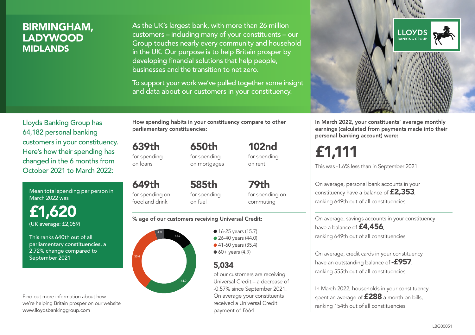## BIRMINGHAM, LADYWOOD MIDLANDS

As the UK's largest bank, with more than 26 million customers – including many of your constituents – our Group touches nearly every community and household in the UK. Our purpose is to help Britain prosper by developing financial solutions that help people, businesses and the transition to net zero.

To support your work we've pulled together some insight and data about our customers in your constituency.



Mean total spending per person in March 2022 was

£1,620 (UK average: £2,059)

This ranks 640th out of all parliamentary constituencies, a 2.72% change compared to September 2021

Find out more information about how we're helping Britain prosper on our website www.lloydsbankinggroup.com

How spending habits in your constituency compare to other parliamentary constituencies:

> 650th for spending on mortgages

639th for spending

on loans

649th for spending on food and drink 585th for spending on fuel

for spending on commuting

79th

102nd for spending on rent

#### % age of our customers receiving Universal Credit:



• 16-25 years (15.7) ● 26-40 years (44.0) ● 41-60 years (35.4)  $60+$  years (4.9)

### 5,034

of our customers are receiving Universal Credit – a decrease of -0.57% since September 2021. On average your constituents received a Universal Credit payment of £664



In March 2022, your constituents' average monthly earnings (calculated from payments made into their personal banking account) were:

# £1,111

This was -1.6% less than in September 2021

On average, personal bank accounts in your constituency have a balance of £2,353, ranking 649th out of all constituencies

On average, savings accounts in your constituency have a balance of **£4,456** ranking 649th out of all constituencies

On average, credit cards in your constituency have an outstanding balance of  $-$ £957, ranking 555th out of all constituencies

In March 2022, households in your constituency spent an average of **£288** a month on bills, ranking 154th out of all constituencies